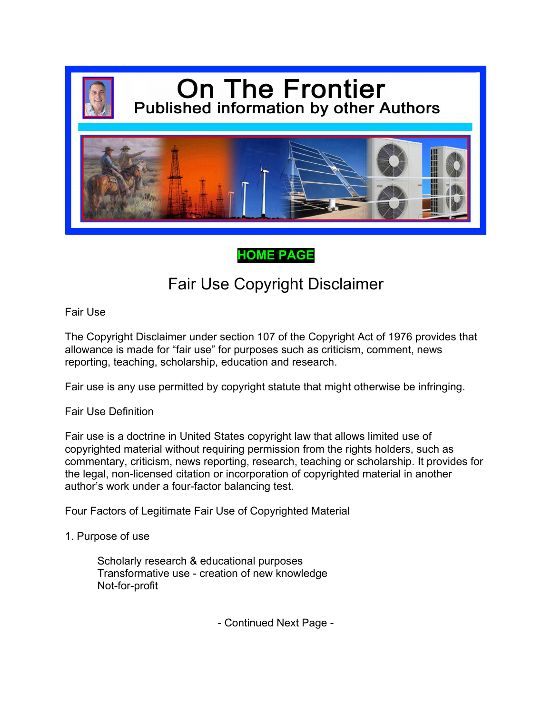

### **[HOME PAGE](https://filedn.com/l9pHfc29qBEzDUUEoHrbsHJ/$.pdf)**

# Fair Use Copyright Disclaimer

Fair Use

The Copyright Disclaimer under section 107 of the Copyright Act of 1976 provides that allowance is made for "fair use" for purposes such as criticism, comment, news reporting, teaching, scholarship, education and research.

Fair use is any use permitted by copyright statute that might otherwise be infringing.

Fair Use Definition

Fair use is a doctrine in United States copyright law that allows limited use of copyrighted material without requiring permission from the rights holders, such as commentary, criticism, news reporting, research, teaching or scholarship. It provides for the legal, non-licensed citation or incorporation of copyrighted material in another author's work under a four-factor balancing test.

Four Factors of Legitimate Fair Use of Copyrighted Material

1. Purpose of use

Scholarly research & educational purposes Transformative use - creation of new knowledge Not-for-profit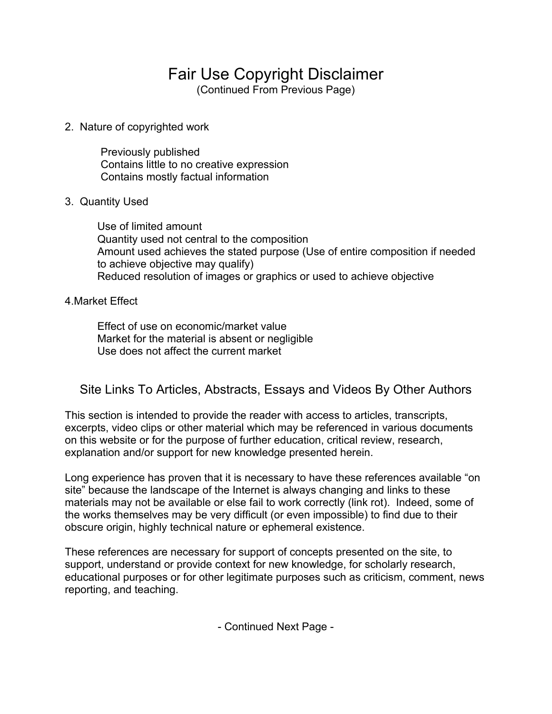## Fair Use Copyright Disclaimer

(Continued From Previous Page)

2. Nature of copyrighted work

Previously published Contains little to no creative expression Contains mostly factual information

#### 3. Quantity Used

Use of limited amount Quantity used not central to the composition Amount used achieves the stated purpose (Use of entire composition if needed to achieve objective may qualify) Reduced resolution of images or graphics or used to achieve objective

#### 4.Market Effect

Effect of use on economic/market value Market for the material is absent or negligible Use does not affect the current market

### Site Links To Articles, Abstracts, Essays and Videos By Other Authors

This section is intended to provide the reader with access to articles, transcripts, excerpts, video clips or other material which may be referenced in various documents on this website or for the purpose of further education, critical review, research, explanation and/or support for new knowledge presented herein.

Long experience has proven that it is necessary to have these references available "on site" because the landscape of the Internet is always changing and links to these materials may not be available or else fail to work correctly (link rot). Indeed, some of the works themselves may be very difficult (or even impossible) to find due to their obscure origin, highly technical nature or ephemeral existence.

These references are necessary for support of concepts presented on the site, to support, understand or provide context for new knowledge, for scholarly research, educational purposes or for other legitimate purposes such as criticism, comment, news reporting, and teaching.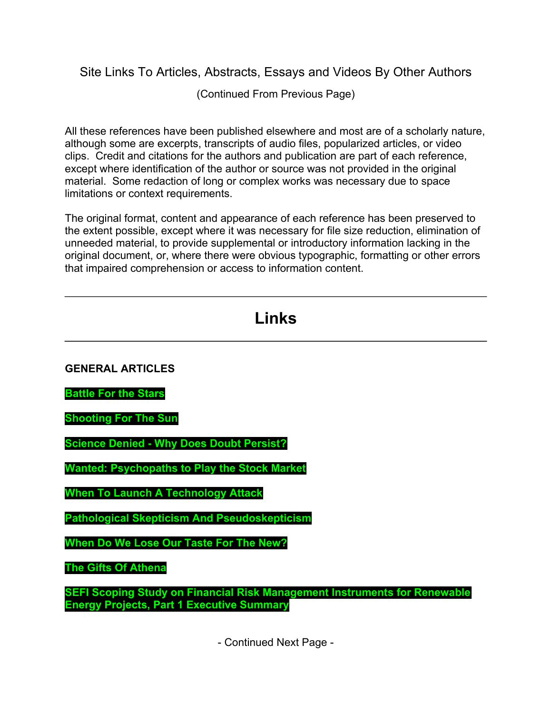Site Links To Articles, Abstracts, Essays and Videos By Other Authors

(Continued From Previous Page)

All these references have been published elsewhere and most are of a scholarly nature, although some are excerpts, transcripts of audio files, popularized articles, or video clips. Credit and citations for the authors and publication are part of each reference, except where identification of the author or source was not provided in the original material. Some redaction of long or complex works was necessary due to space limitations or context requirements.

The original format, content and appearance of each reference has been preserved to the extent possible, except where it was necessary for file size reduction, elimination of unneeded material, to provide supplemental or introductory information lacking in the original document, or, where there were obvious typographic, formatting or other errors that impaired comprehension or access to information content.

| Links                                                                                                                                |  |
|--------------------------------------------------------------------------------------------------------------------------------------|--|
|                                                                                                                                      |  |
| <b>GENERAL ARTICLES</b>                                                                                                              |  |
| <b>Battle For the Stars</b>                                                                                                          |  |
| <b>Shooting For The Sun</b>                                                                                                          |  |
| <b>Science Denied - Why Does Doubt Persist?</b>                                                                                      |  |
| <b>Wanted: Psychopaths to Play the Stock Market</b>                                                                                  |  |
| <b>When To Launch A Technology Attack</b>                                                                                            |  |
| <b>Pathological Skepticism And Pseudoskepticism</b>                                                                                  |  |
| When Do We Lose Our Taste For The New?                                                                                               |  |
| <b>The Gifts Of Athena</b>                                                                                                           |  |
| <b>SEFI Scoping Study on Financial Risk Management Instruments for Renewable</b><br><b>Energy Projects, Part 1 Executive Summary</b> |  |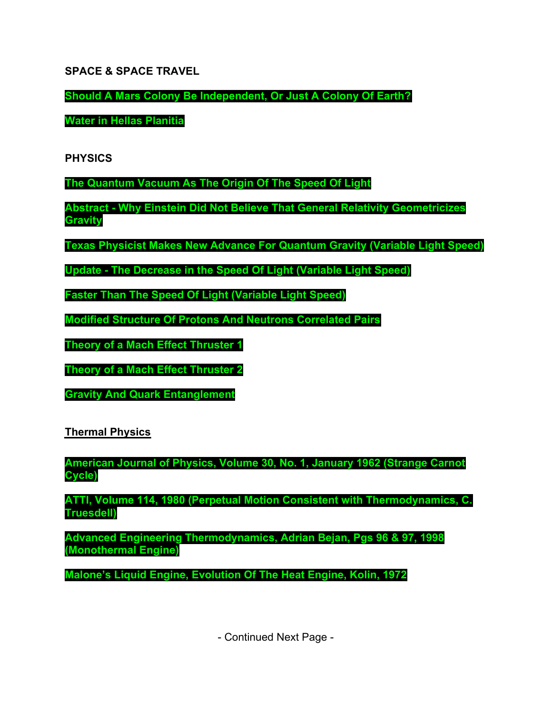**SPACE & SPACE TRAVEL**

**[Should A Mars Colony Be Independent, Or Just A Colony Of Earth?](https://filedn.com/l9pHfc29qBEzDUUEoHrbsHJ/s1.pdf)**

**[Water in Hellas Planitia](https://filedn.com/l9pHfc29qBEzDUUEoHrbsHJ/s2.pdf)**

**PHYSICS**

**[The Quantum Vacuum As The Origin Of The Speed Of Light](https://filedn.com/l9pHfc29qBEzDUUEoHrbsHJ/p1.pdf)**

**[Abstract - Why Einstein Did Not Believe That General Relativity Geometricizes](https://filedn.com/l9pHfc29qBEzDUUEoHrbsHJ/p2.pdf) Gravity**

**[Texas Physicist Makes New Advance For Quantum Gravity \(Variable Light Speed\)](https://filedn.com/l9pHfc29qBEzDUUEoHrbsHJ/p3.pdf)**

**[Update - The Decrease in the Speed Of Light \(Variable Light Speed\)](https://filedn.com/l9pHfc29qBEzDUUEoHrbsHJ/p4.pdf)**

**[Faster Than The Speed Of Light \(Variable Light Speed\)](https://filedn.com/l9pHfc29qBEzDUUEoHrbsHJ/p5.pdf)**

**[Modified Structure Of Protons And Neutrons Correlated Pairs](https://filedn.com/l9pHfc29qBEzDUUEoHrbsHJ/p6.pdf)**

**[Theory of a Mach Effect Thruster 1](https://filedn.com/l9pHfc29qBEzDUUEoHrbsHJ/p7.pdf)**

**[Theory of a Mach Effect Thruster 2](https://filedn.com/l9pHfc29qBEzDUUEoHrbsHJ/p8.pdf)**

**[Gravity And Quark Entanglement](https://filedn.com/l9pHfc29qBEzDUUEoHrbsHJ/p9.pdf)**

**Thermal Physics**

**[American Journal of Physics, Volume 30, No. 1, January 1962 \(Strange Carnot](https://filedn.com/l9pHfc29qBEzDUUEoHrbsHJ/t1.pdf) Cycle)**

**[ATTI, Volume 114, 1980 \(Perpetual Motion Consistent with Thermodynamics, C.](https://filedn.com/l9pHfc29qBEzDUUEoHrbsHJ/t2.pdf) Truesdell)**

**[Advanced Engineering Thermodynamics, Adrian Bejan, Pgs 96 & 97, 1998](https://filedn.com/l9pHfc29qBEzDUUEoHrbsHJ/t3.pdf) (Monothermal Engine)**

**[Malone's Liquid Engine, Evolution Of The Heat Engine, Kolin, 1972](https://filedn.com/l9pHfc29qBEzDUUEoHrbsHJ/t4.pdf)**